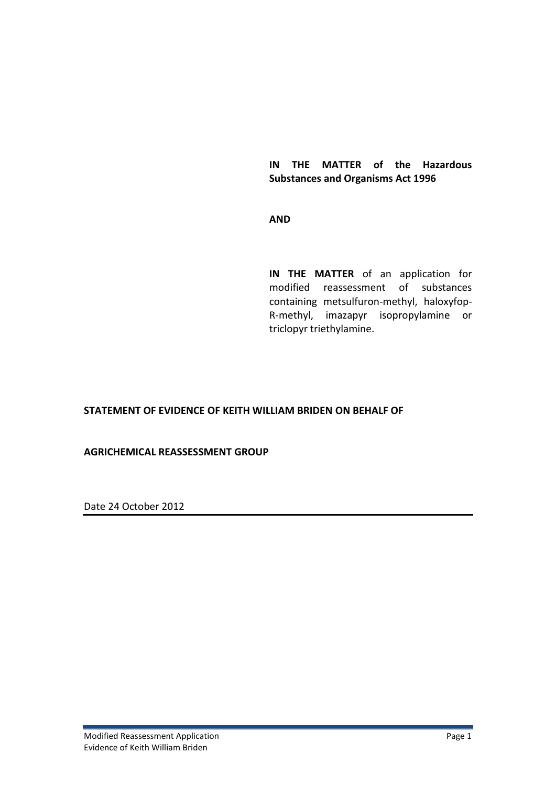### **IN THE MATTER of the Hazardous Substances and Organisms Act 1996**

### **AND**

**IN THE MATTER** of an application for modified reassessment of substances containing metsulfuron-methyl, haloxyfop-R-methyl, imazapyr isopropylamine or triclopyr triethylamine.

### **STATEMENT OF EVIDENCE OF KEITH WILLIAM BRIDEN ON BEHALF OF**

#### **AGRICHEMICAL REASSESSMENT GROUP**

Date 24 October 2012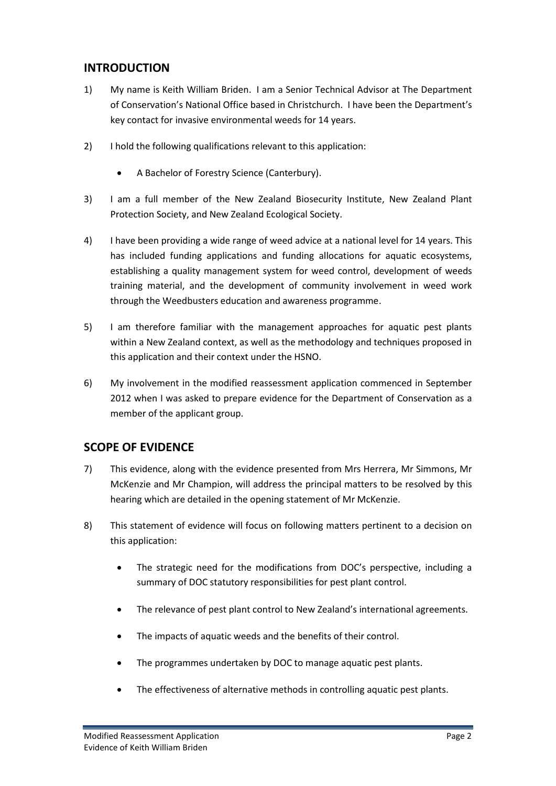## **INTRODUCTION**

- 1) My name is Keith William Briden. I am a Senior Technical Advisor at The Department of Conservation's National Office based in Christchurch. I have been the Department's key contact for invasive environmental weeds for 14 years.
- 2) I hold the following qualifications relevant to this application:
	- A Bachelor of Forestry Science (Canterbury).
- 3) I am a full member of the New Zealand Biosecurity Institute, New Zealand Plant Protection Society, and New Zealand Ecological Society.
- 4) I have been providing a wide range of weed advice at a national level for 14 years. This has included funding applications and funding allocations for aquatic ecosystems, establishing a quality management system for weed control, development of weeds training material, and the development of community involvement in weed work through the Weedbusters education and awareness programme.
- 5) I am therefore familiar with the management approaches for aquatic pest plants within a New Zealand context, as well as the methodology and techniques proposed in this application and their context under the HSNO.
- 6) My involvement in the modified reassessment application commenced in September 2012 when I was asked to prepare evidence for the Department of Conservation as a member of the applicant group.

## **SCOPE OF EVIDENCE**

- 7) This evidence, along with the evidence presented from Mrs Herrera, Mr Simmons, Mr McKenzie and Mr Champion, will address the principal matters to be resolved by this hearing which are detailed in the opening statement of Mr McKenzie.
- 8) This statement of evidence will focus on following matters pertinent to a decision on this application:
	- The strategic need for the modifications from DOC's perspective, including a summary of DOC statutory responsibilities for pest plant control.
	- The relevance of pest plant control to New Zealand's international agreements.
	- The impacts of aquatic weeds and the benefits of their control.
	- The programmes undertaken by DOC to manage aquatic pest plants.
	- The effectiveness of alternative methods in controlling aquatic pest plants.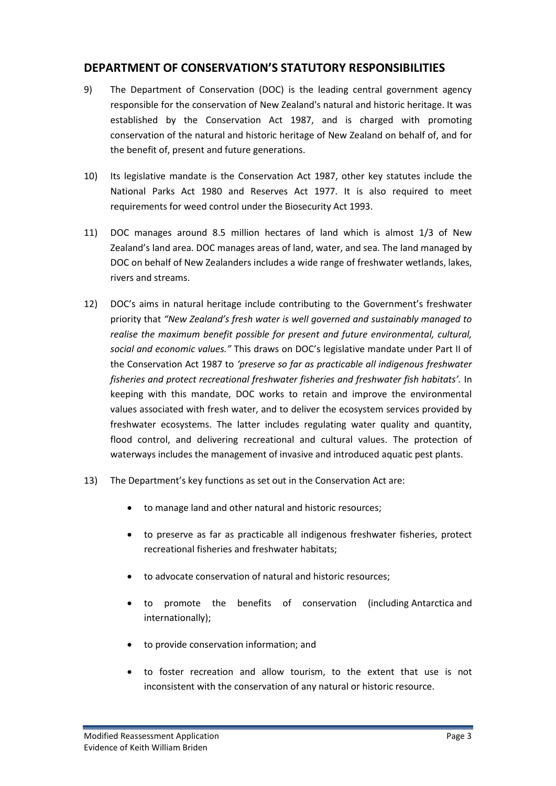## **DEPARTMENT OF CONSERVATION'S STATUTORY RESPONSIBILITIES**

- 9) The Department of Conservation (DOC) is the leading central government agency responsible for the conservation of New Zealand's natural and historic heritage. It was established by the Conservation Act 1987, and is charged with promoting conservation of the natural and historic heritage of New Zealand on behalf of, and for the benefit of, present and future generations.
- 10) Its legislative mandate is the Conservation Act 1987, other key statutes include the National Parks Act 1980 and Reserves Act 1977. It is also required to meet requirements for weed control under the Biosecurity Act 1993.
- 11) DOC manages around 8.5 million hectares of land which is almost 1/3 of New Zealand's land area. DOC manages areas of land, water, and sea. The land managed by DOC on behalf of New Zealanders includes a wide range of freshwater wetlands, lakes, rivers and streams.
- 12) DOC's aims in natural heritage include contributing to the Government's freshwater priority that *"New Zealand's fresh water is well governed and sustainably managed to realise the maximum benefit possible for present and future environmental, cultural, social and economic values."* This draws on DOC's legislative mandate under Part II of the Conservation Act 1987 to *'preserve so far as practicable all indigenous freshwater fisheries and protect recreational freshwater fisheries and freshwater fish habitats'.* In keeping with this mandate, DOC works to retain and improve the environmental values associated with fresh water, and to deliver the ecosystem services provided by freshwater ecosystems. The latter includes regulating water quality and quantity, flood control, and delivering recreational and cultural values. The protection of waterways includes the management of invasive and introduced aquatic pest plants.
- 13) The Department's key functions as set out in the Conservation Act are:
	- to manage land and other natural and historic resources;
	- to preserve as far as practicable all indigenous freshwater fisheries, protect recreational fisheries and freshwater habitats;
	- to advocate conservation of natural and historic resources;
	- to promote the benefits of conservation (including Antarctica and internationally);
	- to provide conservation information; and
	- to foster recreation and allow tourism, to the extent that use is not inconsistent with the conservation of any natural or historic resource.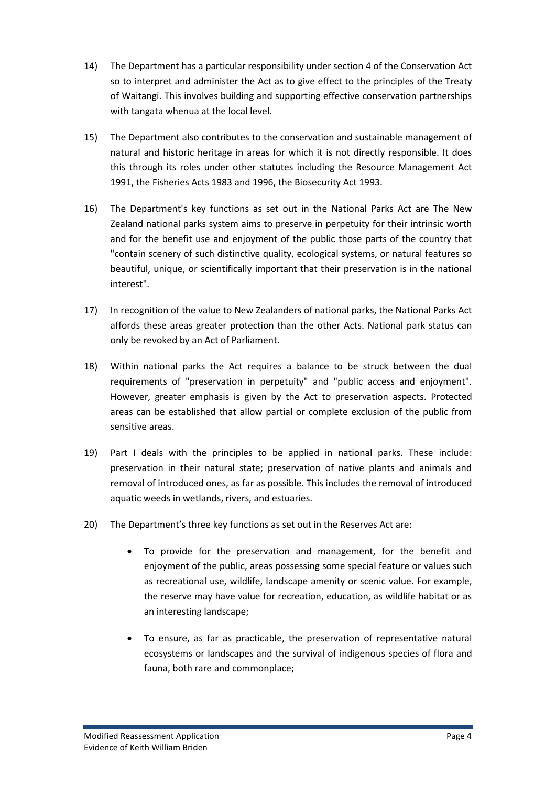- 14) The Department has a particular responsibility under section 4 of the Conservation Act so to interpret and administer the Act as to give effect to the principles of the Treaty of Waitangi. This involves building and supporting effective conservation partnerships with tangata whenua at the local level.
- 15) The Department also contributes to the conservation and sustainable management of natural and historic heritage in areas for which it is not directly responsible. It does this through its roles under other statutes including the Resource Management Act 1991, the Fisheries Acts 1983 and 1996, the Biosecurity Act 1993.
- 16) The Department's key functions as set out in the National Parks Act are The New Zealand national parks system aims to preserve in perpetuity for their intrinsic worth and for the benefit use and enjoyment of the public those parts of the country that "contain scenery of such distinctive quality, ecological systems, or natural features so beautiful, unique, or scientifically important that their preservation is in the national interest".
- 17) In recognition of the value to New Zealanders of national parks, the National Parks Act affords these areas greater protection than the other Acts. National park status can only be revoked by an Act of Parliament.
- 18) Within national parks the Act requires a balance to be struck between the dual requirements of "preservation in perpetuity" and "public access and enjoyment". However, greater emphasis is given by the Act to preservation aspects. Protected areas can be established that allow partial or complete exclusion of the public from sensitive areas.
- 19) Part I deals with the principles to be applied in national parks. These include: preservation in their natural state; preservation of native plants and animals and removal of introduced ones, as far as possible. This includes the removal of introduced aquatic weeds in wetlands, rivers, and estuaries.
- 20) The Department's three key functions as set out in the Reserves Act are:
	- To provide for the preservation and management, for the benefit and enjoyment of the public, areas possessing some special feature or values such as recreational use, wildlife, landscape amenity or scenic value. For example, the reserve may have value for recreation, education, as wildlife habitat or as an interesting landscape;
	- To ensure, as far as practicable, the preservation of representative natural ecosystems or landscapes and the survival of indigenous species of flora and fauna, both rare and commonplace;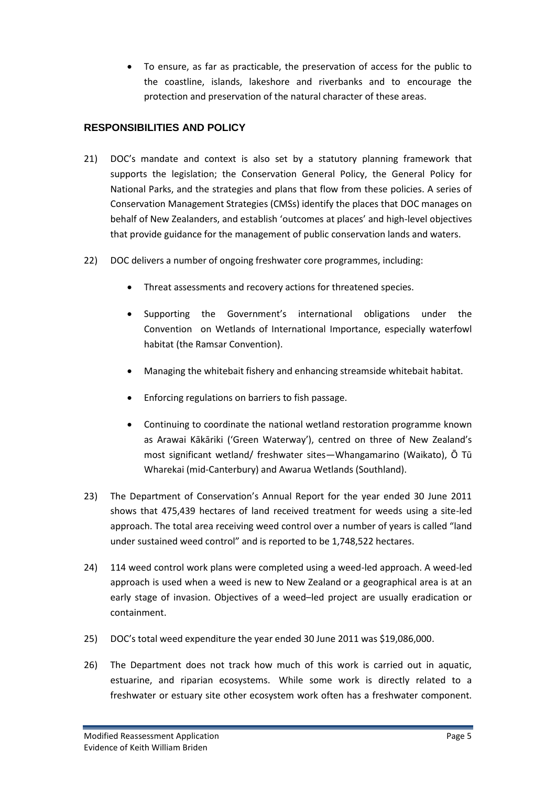To ensure, as far as practicable, the preservation of access for the public to the coastline, islands, lakeshore and riverbanks and to encourage the protection and preservation of the natural character of these areas.

### **RESPONSIBILITIES AND POLICY**

- 21) DOC's mandate and context is also set by a statutory planning framework that supports the legislation; the Conservation General Policy, the General Policy for National Parks, and the strategies and plans that flow from these policies. A series of Conservation Management Strategies (CMSs) identify the places that DOC manages on behalf of New Zealanders, and establish 'outcomes at places' and high-level objectives that provide guidance for the management of public conservation lands and waters.
- 22) DOC delivers a number of ongoing freshwater core programmes, including:
	- Threat assessments and recovery actions for threatened species.
	- Supporting the Government's international obligations under the Convention on Wetlands of International Importance, especially waterfowl habitat (the Ramsar Convention).
	- Managing the whitebait fishery and enhancing streamside whitebait habitat.
	- Enforcing regulations on barriers to fish passage.
	- Continuing to coordinate the national wetland restoration programme known as Arawai Kākāriki ('Green Waterway'), centred on three of New Zealand's most significant wetland/ freshwater sites—Whangamarino (Waikato), Ō Tū Wharekai (mid-Canterbury) and Awarua Wetlands (Southland).
- 23) The Department of Conservation's Annual Report for the year ended 30 June 2011 shows that 475,439 hectares of land received treatment for weeds using a site-led approach. The total area receiving weed control over a number of years is called "land under sustained weed control" and is reported to be 1,748,522 hectares.
- 24) 114 weed control work plans were completed using a weed-led approach. A weed-led approach is used when a weed is new to New Zealand or a geographical area is at an early stage of invasion. Objectives of a weed–led project are usually eradication or containment.
- 25) DOC's total weed expenditure the year ended 30 June 2011 was \$19,086,000.
- 26) The Department does not track how much of this work is carried out in aquatic, estuarine, and riparian ecosystems. While some work is directly related to a freshwater or estuary site other ecosystem work often has a freshwater component.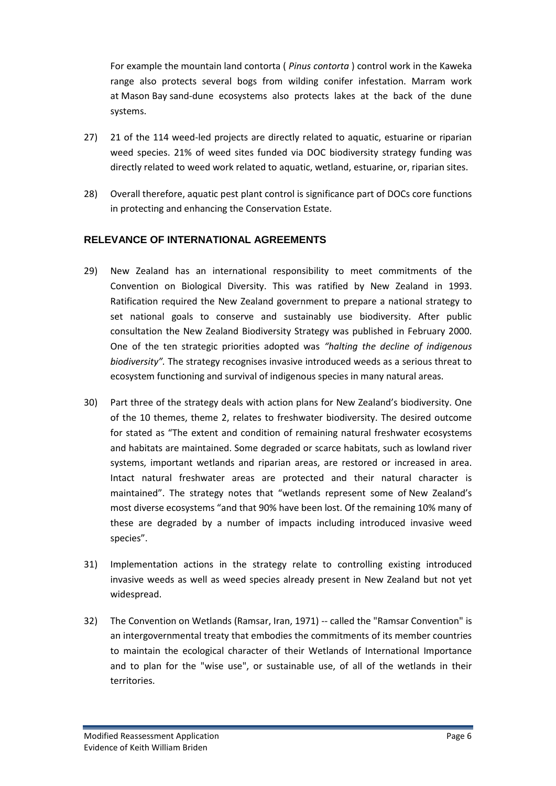For example the mountain land contorta ( *Pinus contorta* ) control work in the Kaweka range also protects several bogs from wilding conifer infestation. Marram work at Mason Bay sand-dune ecosystems also protects lakes at the back of the dune systems.

- 27) 21 of the 114 weed-led projects are directly related to aquatic, estuarine or riparian weed species. 21% of weed sites funded via DOC biodiversity strategy funding was directly related to weed work related to aquatic, wetland, estuarine, or, riparian sites.
- 28) Overall therefore, aquatic pest plant control is significance part of DOCs core functions in protecting and enhancing the Conservation Estate.

### **RELEVANCE OF INTERNATIONAL AGREEMENTS**

- 29) New Zealand has an international responsibility to meet commitments of the Convention on Biological Diversity. This was ratified by New Zealand in 1993. Ratification required the New Zealand government to prepare a national strategy to set national goals to conserve and sustainably use biodiversity. After public consultation the New Zealand Biodiversity Strategy was published in February 2000. One of the ten strategic priorities adopted was *"halting the decline of indigenous biodiversity".* The strategy recognises invasive introduced weeds as a serious threat to ecosystem functioning and survival of indigenous species in many natural areas.
- 30) Part three of the strategy deals with action plans for New Zealand's biodiversity. One of the 10 themes, theme 2, relates to freshwater biodiversity. The desired outcome for stated as "The extent and condition of remaining natural freshwater ecosystems and habitats are maintained. Some degraded or scarce habitats, such as lowland river systems, important wetlands and riparian areas, are restored or increased in area. Intact natural freshwater areas are protected and their natural character is maintained". The strategy notes that "wetlands represent some of New Zealand's most diverse ecosystems "and that 90% have been lost. Of the remaining 10% many of these are degraded by a number of impacts including introduced invasive weed species".
- 31) Implementation actions in the strategy relate to controlling existing introduced invasive weeds as well as weed species already present in New Zealand but not yet widespread.
- 32) The Convention on Wetlands (Ramsar, Iran, 1971) -- called the "Ramsar Convention" is an intergovernmental treaty that embodies the commitments of its member countries to maintain the ecological character of their Wetlands of International Importance and to plan for the "wise use", or sustainable use, of all of the wetlands in their territories.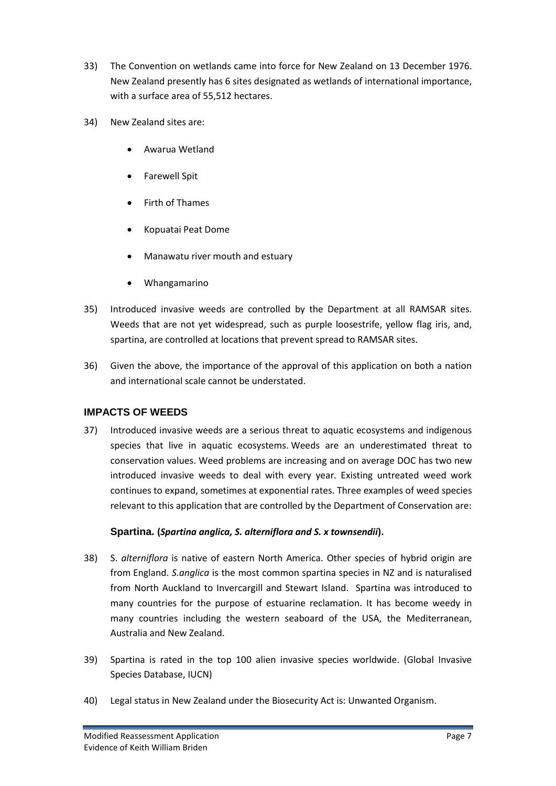- 33) The Convention on wetlands came into force for New Zealand on 13 December 1976. New Zealand presently has 6 sites designated as wetlands of international importance, with a surface area of 55,512 hectares.
- 34) New Zealand sites are:
	- Awarua Wetland
	- Farewell Spit
	- Firth of Thames
	- Kopuatai Peat Dome
	- Manawatu river mouth and estuary
	- Whangamarino
- 35) Introduced invasive weeds are controlled by the Department at all RAMSAR sites. Weeds that are not yet widespread, such as purple loosestrife, yellow flag iris, and, spartina, are controlled at locations that prevent spread to RAMSAR sites.
- 36) Given the above, the importance of the approval of this application on both a nation and international scale cannot be understated.

### **IMPACTS OF WEEDS**

37) Introduced invasive weeds are a serious threat to aquatic ecosystems and indigenous species that live in aquatic ecosystems. Weeds are an underestimated threat to conservation values. Weed problems are increasing and on average DOC has two new introduced invasive weeds to deal with every year. Existing untreated weed work continues to expand, sometimes at exponential rates. Three examples of weed species relevant to this application that are controlled by the Department of Conservation are:

### **Spartina. (***Spartina anglica, S. alterniflora and S. x townsendii***).**

- 38) S. *alterniflora* is native of eastern North America. Other species of hybrid origin are from England. *S.anglica* is the most common spartina species in NZ and is naturalised from North Auckland to Invercargill and Stewart Island. Spartina was introduced to many countries for the purpose of estuarine reclamation. It has become weedy in many countries including the western seaboard of the USA, the Mediterranean, Australia and New Zealand.
- 39) Spartina is rated in the top 100 alien invasive species worldwide. (Global Invasive Species Database, IUCN)
- 40) Legal status in New Zealand under the Biosecurity Act is: Unwanted Organism.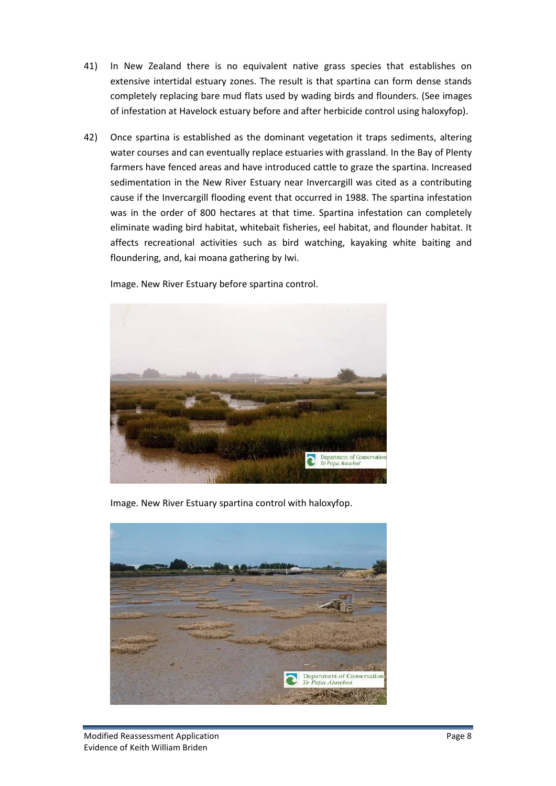- 41) In New Zealand there is no equivalent native grass species that establishes on extensive intertidal estuary zones. The result is that spartina can form dense stands completely replacing bare mud flats used by wading birds and flounders. (See images of infestation at Havelock estuary before and after herbicide control using haloxyfop).
- 42) Once spartina is established as the dominant vegetation it traps sediments, altering water courses and can eventually replace estuaries with grassland. In the Bay of Plenty farmers have fenced areas and have introduced cattle to graze the spartina. Increased sedimentation in the New River Estuary near Invercargill was cited as a contributing cause if the Invercargill flooding event that occurred in 1988. The spartina infestation was in the order of 800 hectares at that time. Spartina infestation can completely eliminate wading bird habitat, whitebait fisheries, eel habitat, and flounder habitat. It affects recreational activities such as bird watching, kayaking white baiting and floundering, and, kai moana gathering by Iwi.

Image. New River Estuary before spartina control.



Image. New River Estuary spartina control with haloxyfop.

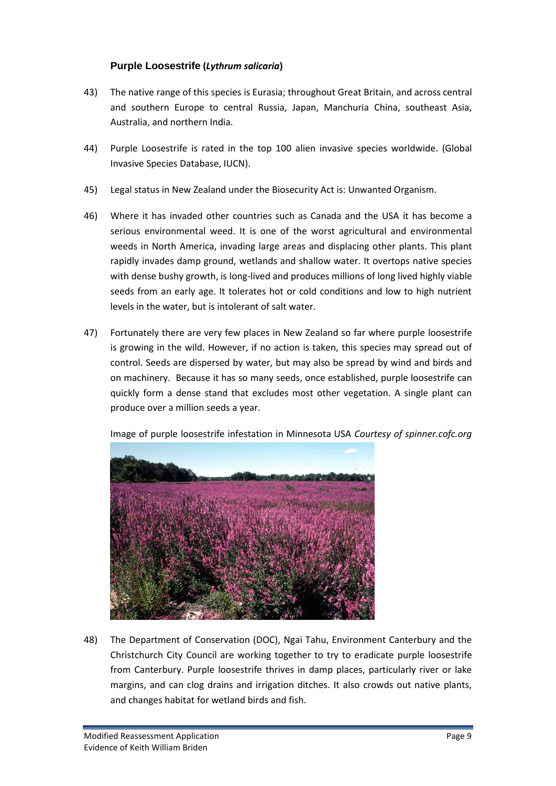#### **Purple Loosestrife (***Lythrum salicaria***)**

- 43) The native range of this species is Eurasia; throughout Great Britain, and across central and southern Europe to central Russia, Japan, Manchuria China, southeast Asia, Australia, and northern India.
- 44) Purple Loosestrife is rated in the top 100 alien invasive species worldwide. (Global Invasive Species Database, IUCN).
- 45) Legal status in New Zealand under the Biosecurity Act is: Unwanted Organism.
- 46) Where it has invaded other countries such as Canada and the USA it has become a serious environmental weed. It is one of the worst agricultural and environmental weeds in North America, invading large areas and displacing other plants. This plant rapidly invades damp ground, wetlands and shallow water. It overtops native species with dense bushy growth, is long-lived and produces millions of long lived highly viable seeds from an early age. It tolerates hot or cold conditions and low to high nutrient levels in the water, but is intolerant of salt water.
- 47) Fortunately there are very few places in New Zealand so far where purple loosestrife is growing in the wild. However, if no action is taken, this species may spread out of control. Seeds are dispersed by water, but may also be spread by wind and birds and on machinery. Because it has so many seeds, once established, purple loosestrife can quickly form a dense stand that excludes most other vegetation. A single plant can produce over a million seeds a year.





48) The Department of Conservation (DOC), Ngai Tahu, Environment Canterbury and the Christchurch City Council are working together to try to eradicate purple loosestrife from Canterbury. Purple loosestrife thrives in damp places, particularly river or lake margins, and can clog drains and irrigation ditches. It also crowds out native plants, and changes habitat for wetland birds and fish.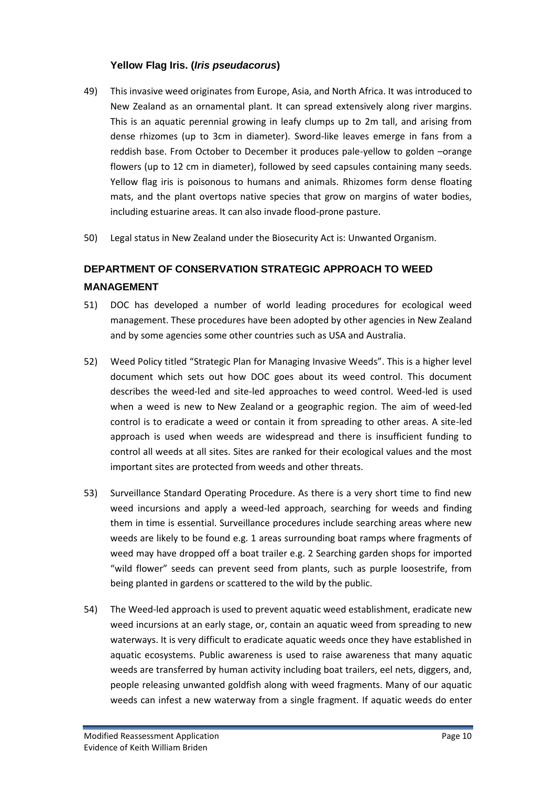### **Yellow Flag Iris. (***Iris pseudacorus***)**

- 49) This invasive weed originates from Europe, Asia, and North Africa. It was introduced to New Zealand as an ornamental plant. It can spread extensively along river margins. This is an aquatic perennial growing in leafy clumps up to 2m tall, and arising from dense rhizomes (up to 3cm in diameter). Sword-like leaves emerge in fans from a reddish base. From October to December it produces pale-yellow to golden –orange flowers (up to 12 cm in diameter), followed by seed capsules containing many seeds. Yellow flag iris is poisonous to humans and animals. Rhizomes form dense floating mats, and the plant overtops native species that grow on margins of water bodies, including estuarine areas. It can also invade flood-prone pasture.
- 50) Legal status in New Zealand under the Biosecurity Act is: Unwanted Organism.

# **DEPARTMENT OF CONSERVATION STRATEGIC APPROACH TO WEED MANAGEMENT**

- 51) DOC has developed a number of world leading procedures for ecological weed management. These procedures have been adopted by other agencies in New Zealand and by some agencies some other countries such as USA and Australia.
- 52) Weed Policy titled "Strategic Plan for Managing Invasive Weeds". This is a higher level document which sets out how DOC goes about its weed control. This document describes the weed-led and site-led approaches to weed control. Weed-led is used when a weed is new to New Zealand or a geographic region. The aim of weed-led control is to eradicate a weed or contain it from spreading to other areas. A site-led approach is used when weeds are widespread and there is insufficient funding to control all weeds at all sites. Sites are ranked for their ecological values and the most important sites are protected from weeds and other threats.
- 53) Surveillance Standard Operating Procedure. As there is a very short time to find new weed incursions and apply a weed-led approach, searching for weeds and finding them in time is essential. Surveillance procedures include searching areas where new weeds are likely to be found e.g. 1 areas surrounding boat ramps where fragments of weed may have dropped off a boat trailer e.g. 2 Searching garden shops for imported "wild flower" seeds can prevent seed from plants, such as purple loosestrife, from being planted in gardens or scattered to the wild by the public.
- 54) The Weed-led approach is used to prevent aquatic weed establishment, eradicate new weed incursions at an early stage, or, contain an aquatic weed from spreading to new waterways. It is very difficult to eradicate aquatic weeds once they have established in aquatic ecosystems. Public awareness is used to raise awareness that many aquatic weeds are transferred by human activity including boat trailers, eel nets, diggers, and, people releasing unwanted goldfish along with weed fragments. Many of our aquatic weeds can infest a new waterway from a single fragment. If aquatic weeds do enter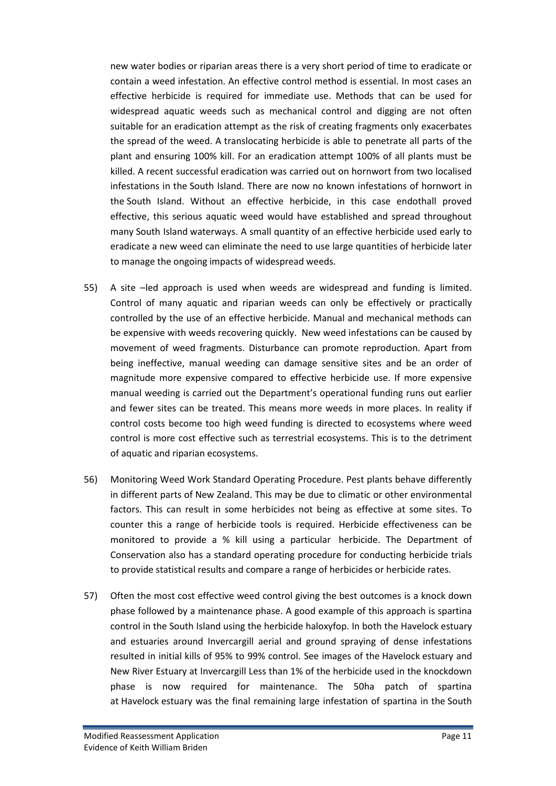new water bodies or riparian areas there is a very short period of time to eradicate or contain a weed infestation. An effective control method is essential. In most cases an effective herbicide is required for immediate use. Methods that can be used for widespread aquatic weeds such as mechanical control and digging are not often suitable for an eradication attempt as the risk of creating fragments only exacerbates the spread of the weed. A translocating herbicide is able to penetrate all parts of the plant and ensuring 100% kill. For an eradication attempt 100% of all plants must be killed. A recent successful eradication was carried out on hornwort from two localised infestations in the South Island. There are now no known infestations of hornwort in the South Island. Without an effective herbicide, in this case endothall proved effective, this serious aquatic weed would have established and spread throughout many South Island waterways. A small quantity of an effective herbicide used early to eradicate a new weed can eliminate the need to use large quantities of herbicide later to manage the ongoing impacts of widespread weeds.

- 55) A site –led approach is used when weeds are widespread and funding is limited. Control of many aquatic and riparian weeds can only be effectively or practically controlled by the use of an effective herbicide. Manual and mechanical methods can be expensive with weeds recovering quickly. New weed infestations can be caused by movement of weed fragments. Disturbance can promote reproduction. Apart from being ineffective, manual weeding can damage sensitive sites and be an order of magnitude more expensive compared to effective herbicide use. If more expensive manual weeding is carried out the Department's operational funding runs out earlier and fewer sites can be treated. This means more weeds in more places. In reality if control costs become too high weed funding is directed to ecosystems where weed control is more cost effective such as terrestrial ecosystems. This is to the detriment of aquatic and riparian ecosystems.
- 56) Monitoring Weed Work Standard Operating Procedure. Pest plants behave differently in different parts of New Zealand. This may be due to climatic or other environmental factors. This can result in some herbicides not being as effective at some sites. To counter this a range of herbicide tools is required. Herbicide effectiveness can be monitored to provide a % kill using a particular herbicide. The Department of Conservation also has a standard operating procedure for conducting herbicide trials to provide statistical results and compare a range of herbicides or herbicide rates.
- 57) Often the most cost effective weed control giving the best outcomes is a knock down phase followed by a maintenance phase. A good example of this approach is spartina control in the South Island using the herbicide haloxyfop. In both the Havelock estuary and estuaries around Invercargill aerial and ground spraying of dense infestations resulted in initial kills of 95% to 99% control. See images of the Havelock estuary and New River Estuary at Invercargill Less than 1% of the herbicide used in the knockdown phase is now required for maintenance. The 50ha patch of spartina at Havelock estuary was the final remaining large infestation of spartina in the South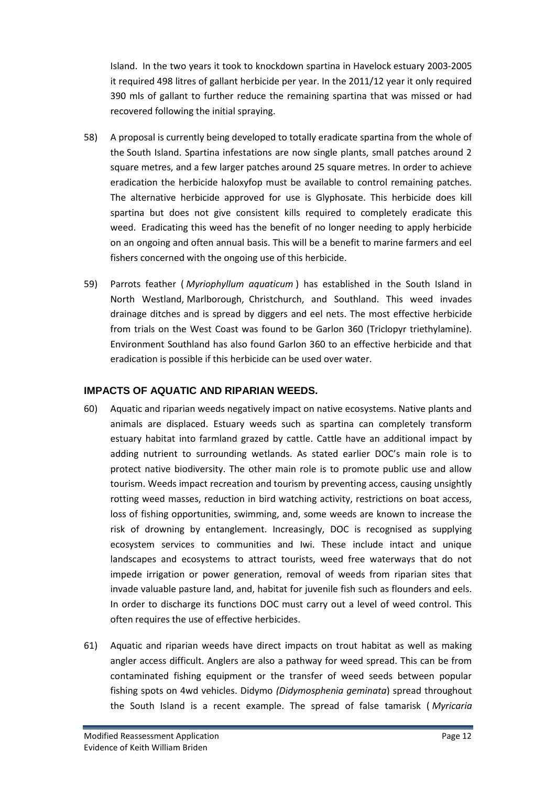Island. In the two years it took to knockdown spartina in Havelock estuary 2003-2005 it required 498 litres of gallant herbicide per year. In the 2011/12 year it only required 390 mls of gallant to further reduce the remaining spartina that was missed or had recovered following the initial spraying.

- 58) A proposal is currently being developed to totally eradicate spartina from the whole of the South Island. Spartina infestations are now single plants, small patches around 2 square metres, and a few larger patches around 25 square metres. In order to achieve eradication the herbicide haloxyfop must be available to control remaining patches. The alternative herbicide approved for use is Glyphosate. This herbicide does kill spartina but does not give consistent kills required to completely eradicate this weed. Eradicating this weed has the benefit of no longer needing to apply herbicide on an ongoing and often annual basis. This will be a benefit to marine farmers and eel fishers concerned with the ongoing use of this herbicide.
- 59) Parrots feather ( *Myriophyllum aquaticum* ) has established in the South Island in North Westland, Marlborough, Christchurch, and Southland. This weed invades drainage ditches and is spread by diggers and eel nets. The most effective herbicide from trials on the West Coast was found to be Garlon 360 (Triclopyr triethylamine). Environment Southland has also found Garlon 360 to an effective herbicide and that eradication is possible if this herbicide can be used over water.

#### **IMPACTS OF AQUATIC AND RIPARIAN WEEDS.**

- 60) Aquatic and riparian weeds negatively impact on native ecosystems. Native plants and animals are displaced. Estuary weeds such as spartina can completely transform estuary habitat into farmland grazed by cattle. Cattle have an additional impact by adding nutrient to surrounding wetlands. As stated earlier DOC's main role is to protect native biodiversity. The other main role is to promote public use and allow tourism. Weeds impact recreation and tourism by preventing access, causing unsightly rotting weed masses, reduction in bird watching activity, restrictions on boat access, loss of fishing opportunities, swimming, and, some weeds are known to increase the risk of drowning by entanglement. Increasingly, DOC is recognised as supplying ecosystem services to communities and Iwi. These include intact and unique landscapes and ecosystems to attract tourists, weed free waterways that do not impede irrigation or power generation, removal of weeds from riparian sites that invade valuable pasture land, and, habitat for juvenile fish such as flounders and eels. In order to discharge its functions DOC must carry out a level of weed control. This often requires the use of effective herbicides.
- 61) Aquatic and riparian weeds have direct impacts on trout habitat as well as making angler access difficult. Anglers are also a pathway for weed spread. This can be from contaminated fishing equipment or the transfer of weed seeds between popular fishing spots on 4wd vehicles. Didymo *(Didymosphenia geminata*) spread throughout the South Island is a recent example. The spread of false tamarisk ( *Myricaria*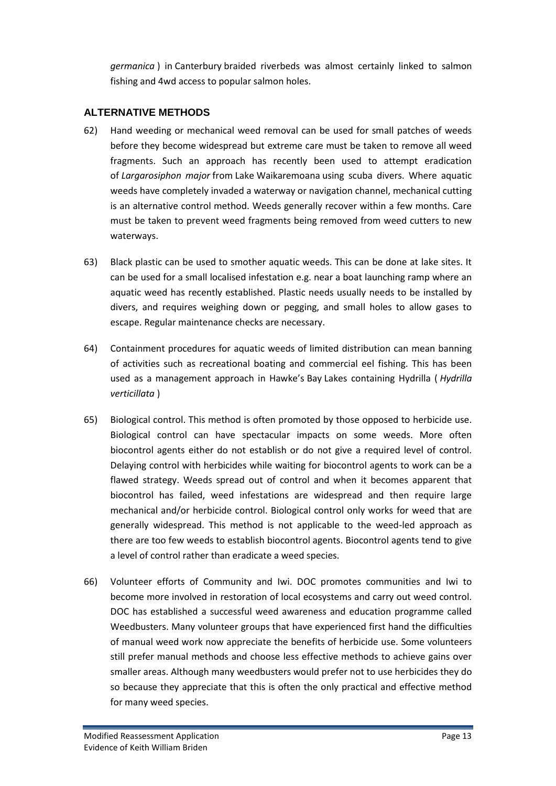*germanica* ) in Canterbury braided riverbeds was almost certainly linked to salmon fishing and 4wd access to popular salmon holes.

### **ALTERNATIVE METHODS**

- 62) Hand weeding or mechanical weed removal can be used for small patches of weeds before they become widespread but extreme care must be taken to remove all weed fragments. Such an approach has recently been used to attempt eradication of *Largarosiphon major* from Lake Waikaremoana using scuba divers. Where aquatic weeds have completely invaded a waterway or navigation channel, mechanical cutting is an alternative control method. Weeds generally recover within a few months. Care must be taken to prevent weed fragments being removed from weed cutters to new waterways.
- 63) Black plastic can be used to smother aquatic weeds. This can be done at lake sites. It can be used for a small localised infestation e.g. near a boat launching ramp where an aquatic weed has recently established. Plastic needs usually needs to be installed by divers, and requires weighing down or pegging, and small holes to allow gases to escape. Regular maintenance checks are necessary.
- 64) Containment procedures for aquatic weeds of limited distribution can mean banning of activities such as recreational boating and commercial eel fishing. This has been used as a management approach in Hawke's Bay Lakes containing Hydrilla ( *Hydrilla verticillata* )
- 65) Biological control. This method is often promoted by those opposed to herbicide use. Biological control can have spectacular impacts on some weeds. More often biocontrol agents either do not establish or do not give a required level of control. Delaying control with herbicides while waiting for biocontrol agents to work can be a flawed strategy. Weeds spread out of control and when it becomes apparent that biocontrol has failed, weed infestations are widespread and then require large mechanical and/or herbicide control. Biological control only works for weed that are generally widespread. This method is not applicable to the weed-led approach as there are too few weeds to establish biocontrol agents. Biocontrol agents tend to give a level of control rather than eradicate a weed species.
- 66) Volunteer efforts of Community and Iwi. DOC promotes communities and Iwi to become more involved in restoration of local ecosystems and carry out weed control. DOC has established a successful weed awareness and education programme called Weedbusters. Many volunteer groups that have experienced first hand the difficulties of manual weed work now appreciate the benefits of herbicide use. Some volunteers still prefer manual methods and choose less effective methods to achieve gains over smaller areas. Although many weedbusters would prefer not to use herbicides they do so because they appreciate that this is often the only practical and effective method for many weed species.